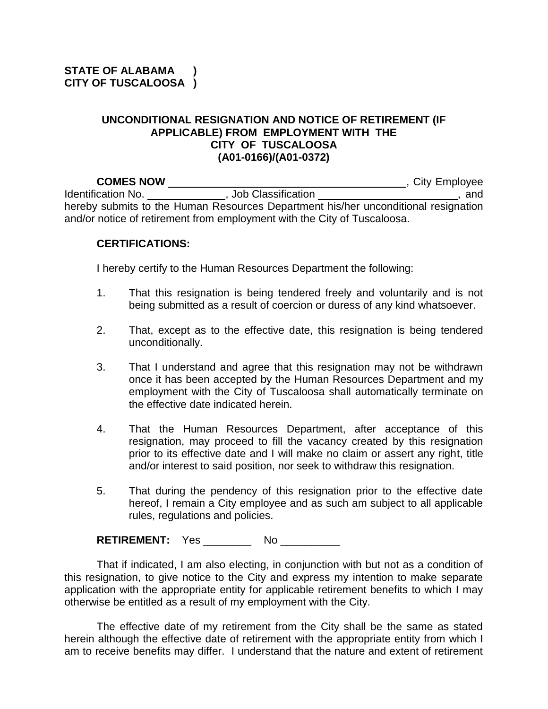## **UNCONDITIONAL RESIGNATION AND NOTICE OF RETIREMENT (IF APPLICABLE) FROM EMPLOYMENT WITH THE CITY OF TUSCALOOSA (A01-0166)/(A01-0372)**

**COMES NOW** *COMES NOW* Identification No. \_\_\_\_\_\_\_\_\_\_\_\_\_\_\_, Job Classification \_\_\_\_\_\_\_\_\_\_\_\_\_\_\_\_\_\_\_\_\_\_\_\_\_, and hereby submits to the Human Resources Department his/her unconditional resignation and/or notice of retirement from employment with the City of Tuscaloosa.

## **CERTIFICATIONS:**

I hereby certify to the Human Resources Department the following:

- 1. That this resignation is being tendered freely and voluntarily and is not being submitted as a result of coercion or duress of any kind whatsoever.
- 2. That, except as to the effective date, this resignation is being tendered unconditionally.
- 3. That I understand and agree that this resignation may not be withdrawn once it has been accepted by the Human Resources Department and my employment with the City of Tuscaloosa shall automatically terminate on the effective date indicated herein.
- 4. That the Human Resources Department, after acceptance of this resignation, may proceed to fill the vacancy created by this resignation prior to its effective date and I will make no claim or assert any right, title and/or interest to said position, nor seek to withdraw this resignation.
- 5. That during the pendency of this resignation prior to the effective date hereof, I remain a City employee and as such am subject to all applicable rules, regulations and policies.

**RETIREMENT:** Yes No \_\_\_\_\_\_\_\_ No

That if indicated, I am also electing, in conjunction with but not as a condition of this resignation, to give notice to the City and express my intention to make separate application with the appropriate entity for applicable retirement benefits to which I may otherwise be entitled as a result of my employment with the City.

The effective date of my retirement from the City shall be the same as stated herein although the effective date of retirement with the appropriate entity from which I am to receive benefits may differ. I understand that the nature and extent of retirement